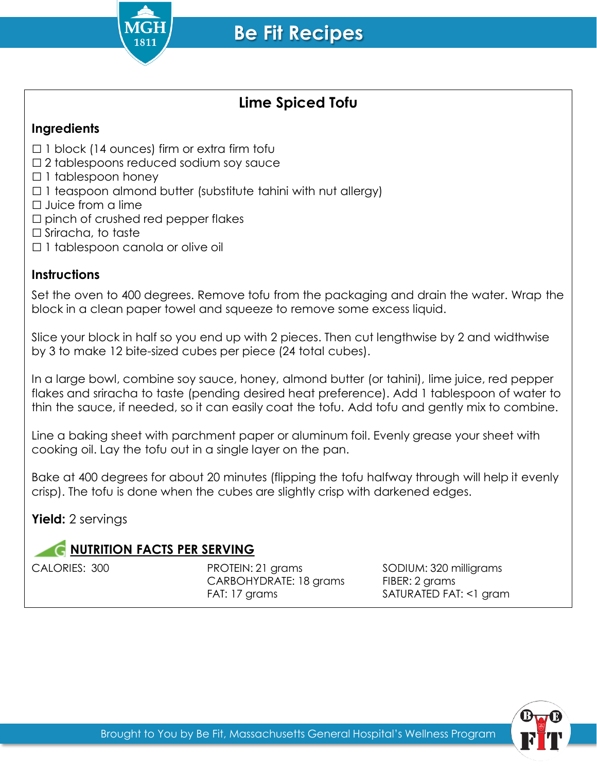

## **Lime Spiced Tofu**

## **Ingredients**

- $\Box$  1 block (14 ounces) firm or extra firm tofu
- □2 tablespoons reduced sodium soy sauce
- □ 1 tablespoon honey
- $\Box$  1 teaspoon almond butter (substitute tahini with nut allergy)
- □ Juice from a lime
- $\square$  pinch of crushed red pepper flakes
- □ Sriracha, to taste
- □1 tablespoon canola or olive oil

## **Instructions**

Set the oven to 400 degrees. Remove tofu from the packaging and drain the water. Wrap the block in a clean paper towel and squeeze to remove some excess liquid.

Slice your block in half so you end up with 2 pieces. Then cut lengthwise by 2 and widthwise by 3 to make 12 bite-sized cubes per piece (24 total cubes).

In a large bowl, combine soy sauce, honey, almond butter (or tahini), lime juice, red pepper flakes and sriracha to taste (pending desired heat preference). Add 1 tablespoon of water to thin the sauce, if needed, so it can easily coat the tofu. Add tofu and gently mix to combine.

Line a baking sheet with parchment paper or aluminum foil. Evenly grease your sheet with cooking oil. Lay the tofu out in a single layer on the pan.

Bake at 400 degrees for about 20 minutes (flipping the tofu halfway through will help it evenly crisp). The tofu is done when the cubes are slightly crisp with darkened edges.

**Yield:** 2 servings

## **C NUTRITION FACTS PER SERVING**

CALORIES: 300 PROTEIN: 21 grams SODIUM: 320 milligrams CARBOHYDRATE: 18 grams FIBER: 2 grams FAT: 17 grams SATURATED FAT: <1 gram